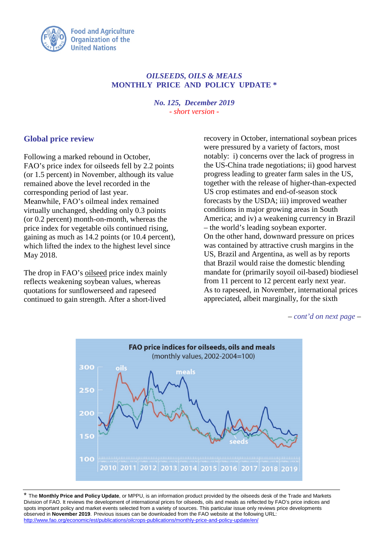

## *OILSEEDS, OILS & MEALS* **MONTHLY PRICE AND POLICY UPDATE \***

*No. 125, December 2019 - short version -*

## **Global price review**

Following a marked rebound in October, FAO's price index for oilseeds fell by 2.2 points (or 1.5 percent) in November, although its value remained above the level recorded in the corresponding period of last year. Meanwhile, FAO's oilmeal index remained virtually unchanged, shedding only 0.3 points (or 0.2 percent) month-on-month, whereas the price index for vegetable oils continued rising, gaining as much as 14.2 points (or 10.4 percent), which lifted the index to the highest level since May 2018.

The drop in FAO's oilseed price index mainly reflects weakening soybean values, whereas quotations for sunflowerseed and rapeseed continued to gain strength. After a short-lived

recovery in October, international soybean prices were pressured by a variety of factors, most notably: i) concerns over the lack of progress in the US-China trade negotiations; ii) good harvest progress leading to greater farm sales in the US, together with the release of higher-than-expected US crop estimates and end-of-season stock forecasts by the USDA; iii) improved weather conditions in major growing areas in South America; and iv) a weakening currency in Brazil – the world's leading soybean exporter. On the other hand, downward pressure on prices was contained by attractive crush margins in the US, Brazil and Argentina, as well as by reports that Brazil would raise the domestic blending mandate for (primarily soyoil oil-based) biodiesel from 11 percent to 12 percent early next year. As to rapeseed, in November, international prices appreciated, albeit marginally, for the sixth

*– cont'd on next page –*



\* The **Monthly Price and Policy Update**, or MPPU, is an information product provided by the oilseeds desk of the Trade and Markets Division of FAO. It reviews the development of international prices for oilseeds, oils and meals as reflected by FAO's price indices and spots important policy and market events selected from a variety of sources. This particular issue only reviews price developments observed in **November 2019**. Previous issues can be downloaded from the FAO website at the following URL: <http://www.fao.org/economic/est/publications/oilcrops-publications/monthly-price-and-policy-update/en/>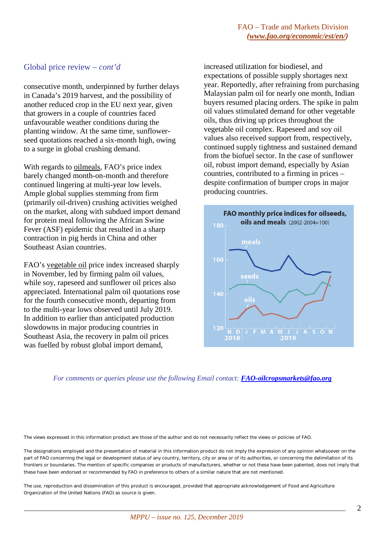## Global price review *– cont'd*

consecutive month, underpinned by further delays in Canada's 2019 harvest, and the possibility of another reduced crop in the EU next year, given that growers in a couple of countries faced unfavourable weather conditions during the planting window. At the same time, sunflowerseed quotations reached a six-month high, owing to a surge in global crushing demand.

With regards to oilmeals, FAO's price index barely changed month-on-month and therefore continued lingering at multi-year low levels. Ample global supplies stemming from firm (primarily oil-driven) crushing activities weighed on the market, along with subdued import demand for protein meal following the African Swine Fever (ASF) epidemic that resulted in a sharp contraction in pig herds in China and other Southeast Asian countries.

FAO's vegetable oil price index increased sharply in November, led by firming palm oil values, while soy, rapeseed and sunflower oil prices also appreciated. International palm oil quotations rose for the fourth consecutive month, departing from to the multi-year lows observed until July 2019. In addition to earlier than anticipated production slowdowns in major producing countries in Southeast Asia, the recovery in palm oil prices was fuelled by robust global import demand,

increased utilization for biodiesel, and expectations of possible supply shortages next year. Reportedly, after refraining from purchasing Malaysian palm oil for nearly one month, Indian buyers resumed placing orders. The spike in palm oil values stimulated demand for other vegetable oils, thus driving up prices throughout the vegetable oil complex. Rapeseed and soy oil values also received support from, respectively, continued supply tightness and sustained demand from the biofuel sector. In the case of sunflower oil, robust import demand, especially by Asian countries, contributed to a firming in prices – despite confirmation of bumper crops in major producing countries.



*For comments or queries please use the following Email contact: [FAO-oilcropsmarkets@fao.org](mailto:FAO-oilcropsmarkets@fao.org)*

The views expressed in this information product are those of the author and do not necessarily reflect the views or policies of FAO.

The designations employed and the presentation of material in this information product do not imply the expression of any opinion whatsoever on the part of FAO concerning the legal or development status of any country, territory, city or area or of its authorities, or concerning the delimitation of its frontiers or boundaries. The mention of specific companies or products of manufacturers, whether or not these have been patented, does not imply that these have been endorsed or recommended by FAO in preference to others of a similar nature that are not mentioned.

The use, reproduction and dissemination of this product is encouraged, provided that appropriate acknowledgement of Food and Agriculture Organization of the United Nations (FAO) as source is given.